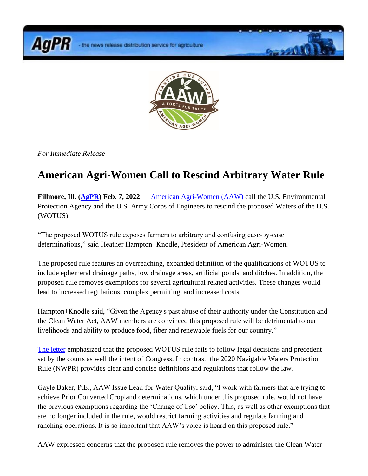**AgPR** 



**Grand Co** 

*For Immediate Release*

## **American Agri-Women Call to Rescind Arbitrary Water Rule**

**Fillmore, Ill. [\(AgPR\)](http://www.agnewscenter.com/trk/process.cfm?track=5423&tc=2&codex=253782) Feb. 7, 2022** — [American Agri-Women \(AAW\)](http://www.agnewscenter.com/trk/process.cfm?track=4646&tc=2&codex=253782) call the U.S. Environmental Protection Agency and the U.S. Army Corps of Engineers to rescind the proposed Waters of the U.S. (WOTUS).

"The proposed WOTUS rule exposes farmers to arbitrary and confusing case-by-case determinations," said Heather Hampton+Knodle, President of American Agri-Women.

The proposed rule features an overreaching, expanded definition of the qualifications of WOTUS to include ephemeral drainage paths, low drainage areas, artificial ponds, and ditches. In addition, the proposed rule removes exemptions for several agricultural related activities. These changes would lead to increased regulations, complex permitting, and increased costs.

Hampton+Knodle said, "Given the Agency's past abuse of their authority under the Constitution and the Clean Water Act, AAW members are convinced this proposed rule will be detrimental to our livelihoods and ability to produce food, fiber and renewable fuels for our country."

[The letter](http://www.agnewscenter.com/trk/process.cfm?track=5499&tc=2&codex=253782) emphasized that the proposed WOTUS rule fails to follow legal decisions and precedent set by the courts as well the intent of Congress. In contrast, the 2020 Navigable Waters Protection Rule (NWPR) provides clear and concise definitions and regulations that follow the law.

Gayle Baker, P.E., AAW Issue Lead for Water Quality, said, "I work with farmers that are trying to achieve Prior Converted Cropland determinations, which under this proposed rule, would not have the previous exemptions regarding the 'Change of Use' policy. This, as well as other exemptions that are no longer included in the rule, would restrict farming activities and regulate farming and ranching operations. It is so important that AAW's voice is heard on this proposed rule."

AAW expressed concerns that the proposed rule removes the power to administer the Clean Water